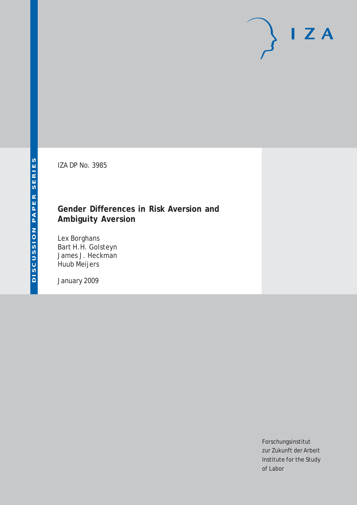# $I Z A$

IZA DP No. 3985

# **Gender Differences in Risk Aversion and Ambiguity Aversion**

Lex Borghans Bart H.H. Golsteyn James J. Heckman Huub Meijers

January 2009

Forschungsinstitut zur Zukunft der Arbeit Institute for the Study of Labor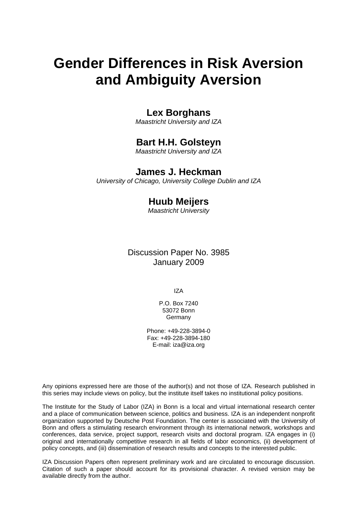# **Gender Differences in Risk Aversion and Ambiguity Aversion**

# **Lex Borghans**

*Maastricht University and IZA* 

# **Bart H.H. Golsteyn**

*Maastricht University and IZA* 

# **James J. Heckman**

*University of Chicago, University College Dublin and IZA* 

# **Huub Meijers**

*Maastricht University* 

Discussion Paper No. 3985 January 2009

IZA

P.O. Box 7240 53072 Bonn Germany

Phone: +49-228-3894-0 Fax: +49-228-3894-180 E-mail: [iza@iza.org](mailto:iza@iza.org)

Any opinions expressed here are those of the author(s) and not those of IZA. Research published in this series may include views on policy, but the institute itself takes no institutional policy positions.

The Institute for the Study of Labor (IZA) in Bonn is a local and virtual international research center and a place of communication between science, politics and business. IZA is an independent nonprofit organization supported by Deutsche Post Foundation. The center is associated with the University of Bonn and offers a stimulating research environment through its international network, workshops and conferences, data service, project support, research visits and doctoral program. IZA engages in (i) original and internationally competitive research in all fields of labor economics, (ii) development of policy concepts, and (iii) dissemination of research results and concepts to the interested public.

IZA Discussion Papers often represent preliminary work and are circulated to encourage discussion. Citation of such a paper should account for its provisional character. A revised version may be available directly from the author.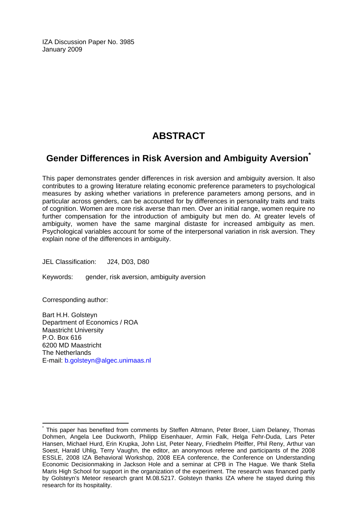IZA Discussion Paper No. 3985 January 2009

# **ABSTRACT**

# **Gender Differences in Risk Aversion and Ambiguity Aversion[\\*](#page-2-0)**

This paper demonstrates gender differences in risk aversion and ambiguity aversion. It also contributes to a growing literature relating economic preference parameters to psychological measures by asking whether variations in preference parameters among persons, and in particular across genders, can be accounted for by differences in personality traits and traits of cognition. Women are more risk averse than men. Over an initial range, women require no further compensation for the introduction of ambiguity but men do. At greater levels of ambiguity, women have the same marginal distaste for increased ambiguity as men. Psychological variables account for some of the interpersonal variation in risk aversion. They explain none of the differences in ambiguity.

JEL Classification: J24, D03, D80

Keywords: gender, risk aversion, ambiguity aversion

Corresponding author:

 $\overline{a}$ 

Bart H.H. Golsteyn Department of Economics / ROA Maastricht University P.O. Box 616 6200 MD Maastricht The Netherlands E-mail: [b.golsteyn@algec.unimaas.nl](mailto:b.golsteyn@algec.unimaas.nl) 

<span id="page-2-0"></span><sup>\*</sup> This paper has benefited from comments by Steffen Altmann, Peter Broer, Liam Delaney, Thomas Dohmen, Angela Lee Duckworth, Philipp Eisenhauer, Armin Falk, Helga Fehr-Duda, Lars Peter Hansen, Michael Hurd, Erin Krupka, John List, Peter Neary, Friedhelm Pfeiffer, Phil Reny, Arthur van Soest, Harald Uhlig, Terry Vaughn, the editor, an anonymous referee and participants of the 2008 ESSLE, 2008 IZA Behavioral Workshop, 2008 EEA conference, the Conference on Understanding Economic Decisionmaking in Jackson Hole and a seminar at CPB in The Hague. We thank Stella Maris High School for support in the organization of the experiment. The research was financed partly by Golsteyn's Meteor research grant M.08.5217. Golsteyn thanks IZA where he stayed during this research for its hospitality.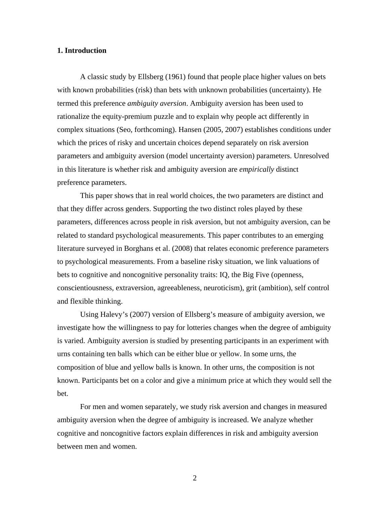#### **1. Introduction**

A classic study by Ellsberg (1961) found that people place higher values on bets with known probabilities (risk) than bets with unknown probabilities (uncertainty). He termed this preference *ambiguity aversion*. Ambiguity aversion has been used to rationalize the equity-premium puzzle and to explain why people act differently in complex situations (Seo, forthcoming). Hansen (2005, 2007) establishes conditions under which the prices of risky and uncertain choices depend separately on risk aversion parameters and ambiguity aversion (model uncertainty aversion) parameters. Unresolved in this literature is whether risk and ambiguity aversion are *empirically* distinct preference parameters.

This paper shows that in real world choices, the two parameters are distinct and that they differ across genders. Supporting the two distinct roles played by these parameters, differences across people in risk aversion, but not ambiguity aversion, can be related to standard psychological measurements. This paper contributes to an emerging literature surveyed in Borghans et al. (2008) that relates economic preference parameters to psychological measurements. From a baseline risky situation, we link valuations of bets to cognitive and noncognitive personality traits: IQ, the Big Five (openness, conscientiousness, extraversion, agreeableness, neuroticism), grit (ambition), self control and flexible thinking.

Using Halevy's (2007) version of Ellsberg's measure of ambiguity aversion, we investigate how the willingness to pay for lotteries changes when the degree of ambiguity is varied. Ambiguity aversion is studied by presenting participants in an experiment with urns containing ten balls which can be either blue or yellow. In some urns, the composition of blue and yellow balls is known. In other urns, the composition is not known. Participants bet on a color and give a minimum price at which they would sell the bet.

For men and women separately, we study risk aversion and changes in measured ambiguity aversion when the degree of ambiguity is increased. We analyze whether cognitive and noncognitive factors explain differences in risk and ambiguity aversion between men and women.

2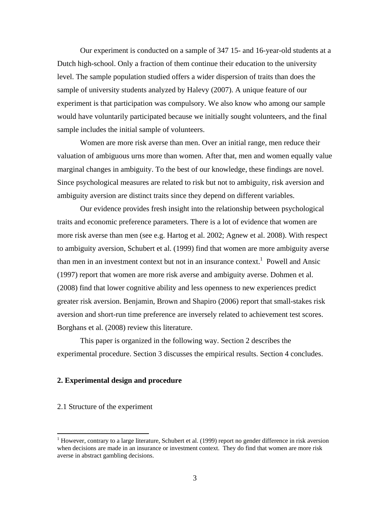Our experiment is conducted on a sample of 347 15- and 16-year-old students at a Dutch high-school. Only a fraction of them continue their education to the university level. The sample population studied offers a wider dispersion of traits than does the sample of university students analyzed by Halevy (2007). A unique feature of our experiment is that participation was compulsory. We also know who among our sample would have voluntarily participated because we initially sought volunteers, and the final sample includes the initial sample of volunteers.

Women are more risk averse than men. Over an initial range, men reduce their valuation of ambiguous urns more than women. After that, men and women equally value marginal changes in ambiguity. To the best of our knowledge, these findings are novel. Since psychological measures are related to risk but not to ambiguity, risk aversion and ambiguity aversion are distinct traits since they depend on different variables.

 Our evidence provides fresh insight into the relationship between psychological traits and economic preference parameters. There is a lot of evidence that women are more risk averse than men (see e.g. Hartog et al. 2002; Agnew et al. 2008). With respect to ambiguity aversion, Schubert et al. (1999) find that women are more ambiguity averse than men in an investment context but not in an insurance context.<sup>1</sup> Powell and Ansic (1997) report that women are more risk averse and ambiguity averse. Dohmen et al. (2008) find that lower cognitive ability and less openness to new experiences predict greater risk aversion. Benjamin, Brown and Shapiro (2006) report that small-stakes risk aversion and short-run time preference are inversely related to achievement test scores. Borghans et al. (2008) review this literature.

This paper is organized in the following way. Section 2 describes the experimental procedure. Section 3 discusses the empirical results. Section 4 concludes.

#### **2. Experimental design and procedure**

#### 2.1 Structure of the experiment

 $\overline{a}$ 

<sup>&</sup>lt;sup>1</sup> However, contrary to a large literature, Schubert et al. (1999) report no gender difference in risk aversion when decisions are made in an insurance or investment context. They do find that women are more risk averse in abstract gambling decisions.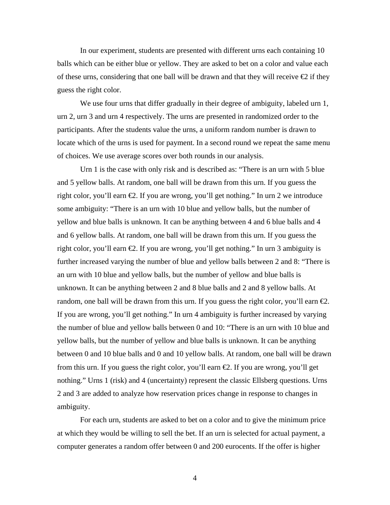In our experiment, students are presented with different urns each containing 10 balls which can be either blue or yellow. They are asked to bet on a color and value each of these urns, considering that one ball will be drawn and that they will receive  $\bigoplus$  if they guess the right color.

We use four urns that differ gradually in their degree of ambiguity, labeled urn 1, urn 2, urn 3 and urn 4 respectively. The urns are presented in randomized order to the participants. After the students value the urns, a uniform random number is drawn to locate which of the urns is used for payment. In a second round we repeat the same menu of choices. We use average scores over both rounds in our analysis.

Urn 1 is the case with only risk and is described as: "There is an urn with 5 blue and 5 yellow balls. At random, one ball will be drawn from this urn. If you guess the right color, you'll earn €2. If you are wrong, you'll get nothing." In urn 2 we introduce some ambiguity: "There is an urn with 10 blue and yellow balls, but the number of yellow and blue balls is unknown. It can be anything between 4 and 6 blue balls and 4 and 6 yellow balls. At random, one ball will be drawn from this urn. If you guess the right color, you'll earn  $\epsilon$ . If you are wrong, you'll get nothing." In urn 3 ambiguity is further increased varying the number of blue and yellow balls between 2 and 8: "There is an urn with 10 blue and yellow balls, but the number of yellow and blue balls is unknown. It can be anything between 2 and 8 blue balls and 2 and 8 yellow balls. At random, one ball will be drawn from this urn. If you guess the right color, you'll earn  $\epsilon$ . If you are wrong, you'll get nothing." In urn 4 ambiguity is further increased by varying the number of blue and yellow balls between 0 and 10: "There is an urn with 10 blue and yellow balls, but the number of yellow and blue balls is unknown. It can be anything between 0 and 10 blue balls and 0 and 10 yellow balls. At random, one ball will be drawn from this urn. If you guess the right color, you'll earn €2. If you are wrong, you'll get nothing." Urns 1 (risk) and 4 (uncertainty) represent the classic Ellsberg questions. Urns 2 and 3 are added to analyze how reservation prices change in response to changes in ambiguity.

For each urn, students are asked to bet on a color and to give the minimum price at which they would be willing to sell the bet. If an urn is selected for actual payment, a computer generates a random offer between 0 and 200 eurocents. If the offer is higher

4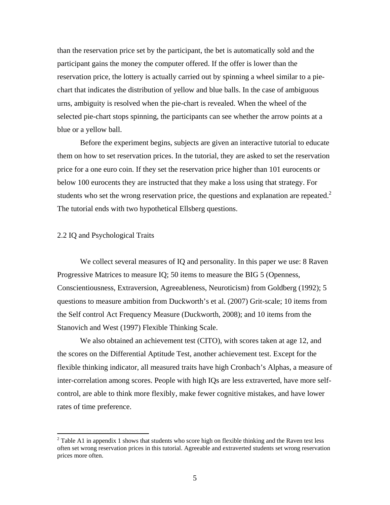than the reservation price set by the participant, the bet is automatically sold and the participant gains the money the computer offered. If the offer is lower than the reservation price, the lottery is actually carried out by spinning a wheel similar to a piechart that indicates the distribution of yellow and blue balls. In the case of ambiguous urns, ambiguity is resolved when the pie-chart is revealed. When the wheel of the selected pie-chart stops spinning, the participants can see whether the arrow points at a blue or a yellow ball.

Before the experiment begins, subjects are given an interactive tutorial to educate them on how to set reservation prices. In the tutorial, they are asked to set the reservation price for a one euro coin. If they set the reservation price higher than 101 eurocents or below 100 eurocents they are instructed that they make a loss using that strategy. For students who set the wrong reservation price, the questions and explanation are repeated.<sup>2</sup> The tutorial ends with two hypothetical Ellsberg questions.

#### 2.2 IQ and Psychological Traits

 $\overline{a}$ 

We collect several measures of IQ and personality. In this paper we use: 8 Raven Progressive Matrices to measure IQ; 50 items to measure the BIG 5 (Openness, Conscientiousness, Extraversion, Agreeableness, Neuroticism) from Goldberg (1992); 5 questions to measure ambition from Duckworth's et al. (2007) Grit-scale; 10 items from the Self control Act Frequency Measure (Duckworth, 2008); and 10 items from the Stanovich and West (1997) Flexible Thinking Scale.

 We also obtained an achievement test (CITO), with scores taken at age 12, and the scores on the Differential Aptitude Test, another achievement test. Except for the flexible thinking indicator, all measured traits have high Cronbach's Alphas, a measure of inter-correlation among scores. People with high IQs are less extraverted, have more selfcontrol, are able to think more flexibly, make fewer cognitive mistakes, and have lower rates of time preference.

 $2$  Table A1 in appendix 1 shows that students who score high on flexible thinking and the Raven test less often set wrong reservation prices in this tutorial. Agreeable and extraverted students set wrong reservation prices more often.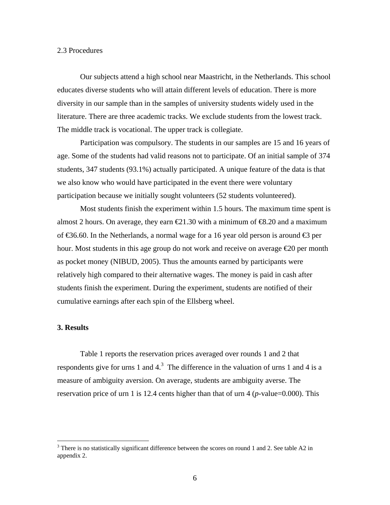#### 2.3 Procedures

Our subjects attend a high school near Maastricht, in the Netherlands. This school educates diverse students who will attain different levels of education. There is more diversity in our sample than in the samples of university students widely used in the literature. There are three academic tracks. We exclude students from the lowest track. The middle track is vocational. The upper track is collegiate.

Participation was compulsory. The students in our samples are 15 and 16 years of age. Some of the students had valid reasons not to participate. Of an initial sample of 374 students, 347 students (93.1%) actually participated. A unique feature of the data is that we also know who would have participated in the event there were voluntary participation because we initially sought volunteers (52 students volunteered).

Most students finish the experiment within 1.5 hours. The maximum time spent is almost 2 hours. On average, they earn  $\epsilon 21.30$  with a minimum of  $\epsilon 8.20$  and a maximum of  $\text{\textsterling}36.60$ . In the Netherlands, a normal wage for a 16 year old person is around  $\text{\textsterling}3$  per hour. Most students in this age group do not work and receive on average €20 per month as pocket money (NIBUD, 2005). Thus the amounts earned by participants were relatively high compared to their alternative wages. The money is paid in cash after students finish the experiment. During the experiment, students are notified of their cumulative earnings after each spin of the Ellsberg wheel.

#### **3. Results**

 $\overline{a}$ 

 Table 1 reports the reservation prices averaged over rounds 1 and 2 that respondents give for urns 1 and  $4<sup>3</sup>$ . The difference in the valuation of urns 1 and 4 is a measure of ambiguity aversion. On average, students are ambiguity averse. The reservation price of urn 1 is 12.4 cents higher than that of urn 4 (*p*-value=0.000). This

 $3$  There is no statistically significant difference between the scores on round 1 and 2. See table A2 in appendix 2.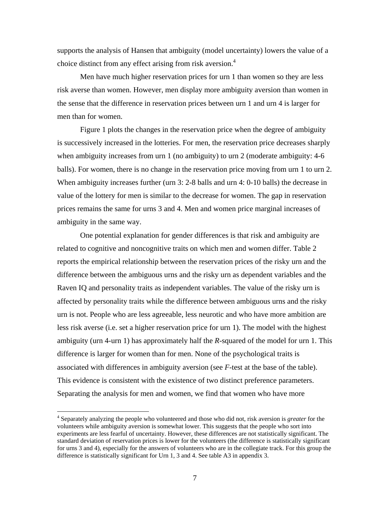supports the analysis of Hansen that ambiguity (model uncertainty) lowers the value of a choice distinct from any effect arising from risk aversion.<sup>4</sup>

Men have much higher reservation prices for urn 1 than women so they are less risk averse than women. However, men display more ambiguity aversion than women in the sense that the difference in reservation prices between urn 1 and urn 4 is larger for men than for women.

Figure 1 plots the changes in the reservation price when the degree of ambiguity is successively increased in the lotteries. For men, the reservation price decreases sharply when ambiguity increases from urn 1 (no ambiguity) to urn 2 (moderate ambiguity: 4-6 balls). For women, there is no change in the reservation price moving from urn 1 to urn 2. When ambiguity increases further (urn 3: 2-8 balls and urn 4: 0-10 balls) the decrease in value of the lottery for men is similar to the decrease for women. The gap in reservation prices remains the same for urns 3 and 4. Men and women price marginal increases of ambiguity in the same way.

One potential explanation for gender differences is that risk and ambiguity are related to cognitive and noncognitive traits on which men and women differ. Table 2 reports the empirical relationship between the reservation prices of the risky urn and the difference between the ambiguous urns and the risky urn as dependent variables and the Raven IQ and personality traits as independent variables. The value of the risky urn is affected by personality traits while the difference between ambiguous urns and the risky urn is not. People who are less agreeable, less neurotic and who have more ambition are less risk averse (i.e. set a higher reservation price for urn 1). The model with the highest ambiguity (urn 4-urn 1) has approximately half the *R*-squared of the model for urn 1. This difference is larger for women than for men. None of the psychological traits is associated with differences in ambiguity aversion (see *F*-test at the base of the table). This evidence is consistent with the existence of two distinct preference parameters. Separating the analysis for men and women, we find that women who have more

 $\overline{a}$ 

<sup>4</sup> Separately analyzing the people who volunteered and those who did not, risk aversion is *greater* for the volunteers while ambiguity aversion is somewhat lower. This suggests that the people who sort into experiments are less fearful of uncertainty. However, these differences are not statistically significant. The standard deviation of reservation prices is lower for the volunteers (the difference is statistically significant for urns 3 and 4), especially for the answers of volunteers who are in the collegiate track. For this group the difference is statistically significant for Urn 1, 3 and 4. See table A3 in appendix 3.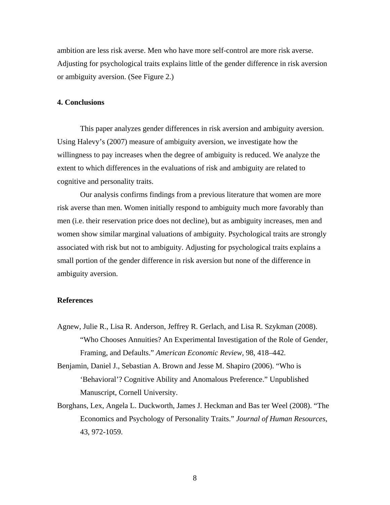ambition are less risk averse. Men who have more self-control are more risk averse. Adjusting for psychological traits explains little of the gender difference in risk aversion or ambiguity aversion. (See Figure 2.)

#### **4. Conclusions**

This paper analyzes gender differences in risk aversion and ambiguity aversion. Using Halevy's (2007) measure of ambiguity aversion, we investigate how the willingness to pay increases when the degree of ambiguity is reduced. We analyze the extent to which differences in the evaluations of risk and ambiguity are related to cognitive and personality traits.

Our analysis confirms findings from a previous literature that women are more risk averse than men. Women initially respond to ambiguity much more favorably than men (i.e. their reservation price does not decline), but as ambiguity increases, men and women show similar marginal valuations of ambiguity. Psychological traits are strongly associated with risk but not to ambiguity. Adjusting for psychological traits explains a small portion of the gender difference in risk aversion but none of the difference in ambiguity aversion.

#### **References**

Agnew, Julie R., Lisa R. Anderson, Jeffrey R. Gerlach, and Lisa R. Szykman (2008). "Who Chooses Annuities? An Experimental Investigation of the Role of Gender, Framing, and Defaults." *American Economic Review,* 98, 418–442*.*

Benjamin, Daniel J., Sebastian A. Brown and Jesse M. Shapiro (2006). "Who is 'Behavioral'? Cognitive Ability and Anomalous Preference." Unpublished Manuscript, Cornell University.

Borghans, Lex, Angela L. Duckworth, James J. Heckman and Bas ter Weel (2008). "The Economics and Psychology of Personality Traits." *Journal of Human Resources*, 43, 972-1059.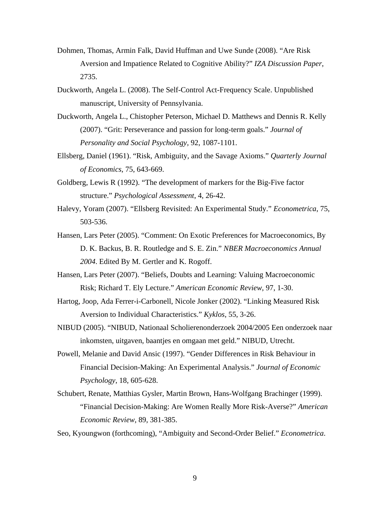- Dohmen, Thomas, Armin Falk, David Huffman and Uwe Sunde (2008). "Are Risk Aversion and Impatience Related to Cognitive Ability?" *IZA Discussion Paper*, 2735.
- Duckworth, Angela L. (2008). The Self-Control Act-Frequency Scale. Unpublished manuscript, University of Pennsylvania.
- Duckworth, Angela L., Chistopher Peterson, Michael D. Matthews and Dennis R. Kelly (2007). "Grit: Perseverance and passion for long-term goals." *Journal of Personality and Social Psychology,* 92, 1087-1101.
- Ellsberg, Daniel (1961). "Risk, Ambiguity, and the Savage Axioms." *Quarterly Journal of Economics*, 75, 643-669.
- Goldberg, Lewis R (1992). "The development of markers for the Big-Five factor structure." *Psychological Assessment*, 4, 26-42.
- Halevy, Yoram (2007). "Ellsberg Revisited: An Experimental Study." *Econometrica*, 75, 503-536.
- Hansen, Lars Peter (2005). "Comment: On Exotic Preferences for Macroeconomics, By D. K. Backus, B. R. Routledge and S. E. Zin." *NBER Macroeconomics Annual 2004*. Edited By M. Gertler and K. Rogoff.
- Hansen, Lars Peter (2007). "Beliefs, Doubts and Learning: Valuing Macroeconomic Risk; Richard T. Ely Lecture." *American Economic Review*, 97, 1-30.
- Hartog, Joop, Ada Ferrer-i-Carbonell, Nicole Jonker (2002). "Linking Measured Risk Aversion to Individual Characteristics." *Kyklos*, 55, 3-26.
- NIBUD (2005). "NIBUD, Nationaal Scholierenonderzoek 2004/2005 Een onderzoek naar inkomsten, uitgaven, baantjes en omgaan met geld." NIBUD, Utrecht.
- Powell, Melanie and David Ansic (1997). "Gender Differences in Risk Behaviour in Financial Decision-Making: An Experimental Analysis." *Journal of Economic Psychology*, 18, 605-628.
- Schubert, Renate, Matthias Gysler, Martin Brown, Hans-Wolfgang Brachinger (1999). "Financial Decision-Making: Are Women Really More Risk-Averse?" *American Economic Review*, 89, 381-385.

Seo, Kyoungwon (forthcoming), "Ambiguity and Second-Order Belief." *Econometrica*.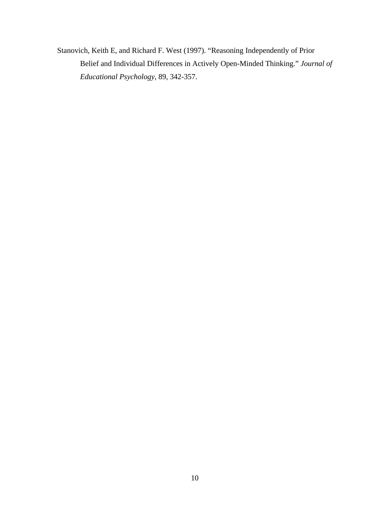Stanovich, Keith E, and Richard F. West (1997). "Reasoning Independently of Prior Belief and Individual Differences in Actively Open-Minded Thinking." *Journal of Educational Psychology*, 89, 342-357.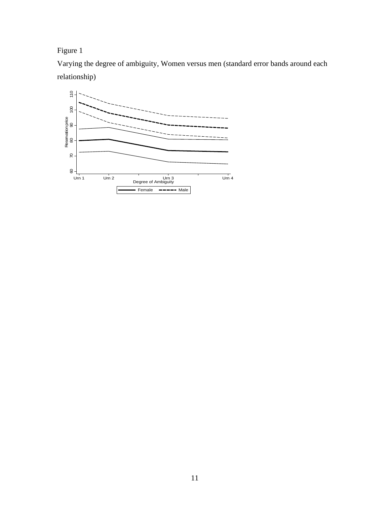# Figure 1

Varying the degree of ambiguity, Women versus men (standard error bands around each relationship)

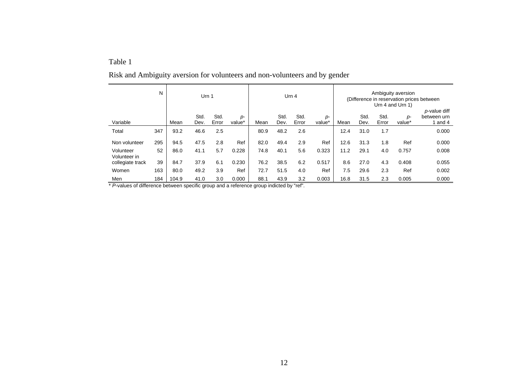#### Table 1

|                                  | N   | Urn 1 |              |               | Urn $4$        |      |              |               | Ambiguity aversion<br>(Difference in reservation prices between)<br>Urn 4 and Urn 1) |      |              |               |                |                                      |
|----------------------------------|-----|-------|--------------|---------------|----------------|------|--------------|---------------|--------------------------------------------------------------------------------------|------|--------------|---------------|----------------|--------------------------------------|
| Variable                         |     | Mean  | Std.<br>Dev. | Std.<br>Error | $p-$<br>value* | Mean | Std.<br>Dev. | Std.<br>Error | p-<br>value*                                                                         | Mean | Std.<br>Dev. | Std.<br>Error | $p-$<br>value* | p-value diff<br>between urn<br>and 4 |
| Total                            | 347 | 93.2  | 46.6         | 2.5           |                | 80.9 | 48.2         | 2.6           |                                                                                      | 12.4 | 31.0         | 1.7           |                | 0.000                                |
| Non volunteer                    | 295 | 94.5  | 47.5         | 2.8           | Ref            | 82.0 | 49.4         | 2.9           | Ref                                                                                  | 12.6 | 31.3         | 1.8           | Ref            | 0.000                                |
| Volunteer                        | 52  | 86.0  | 41.1         | 5.7           | 0.228          | 74.8 | 40.1         | 5.6           | 0.323                                                                                | 11.2 | 29.1         | 4.0           | 0.757          | 0.008                                |
| Volunteer in<br>collegiate track | 39  | 84.7  | 37.9         | 6.1           | 0.230          | 76.2 | 38.5         | 6.2           | 0.517                                                                                | 8.6  | 27.0         | 4.3           | 0.408          | 0.055                                |
| Women                            | 163 | 80.0  | 49.2         | 3.9           | Ref            | 72.7 | 51.5         | 4.0           | Ref                                                                                  | 7.5  | 29.6         | 2.3           | Ref            | 0.002                                |
| Men                              | 184 | 104.9 | 41.0         | 3.0           | 0.000          | 88.1 | 43.9         | 3.2           | 0.003                                                                                | 16.8 | 31.5         | 2.3           | 0.005          | 0.000                                |

Risk and Ambiguity aversion for volunteers and non-volunteers and by gender

\* *P*-values of difference between specific group and a reference group indicted by "ref".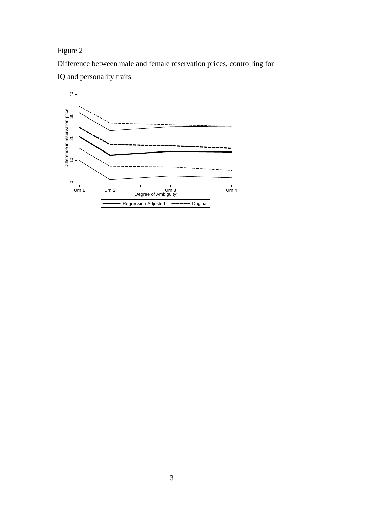Figure 2

Difference between male and female reservation prices, controlling for



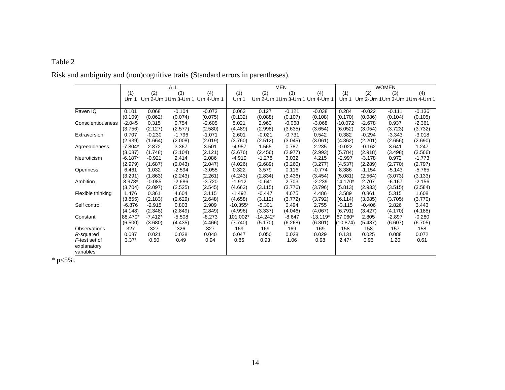#### Table 2

|                     | <b>ALL</b> |           |                                     |          | <b>MEN</b> |            |          |                                     | <b>WOMEN</b> |          |          |                                     |
|---------------------|------------|-----------|-------------------------------------|----------|------------|------------|----------|-------------------------------------|--------------|----------|----------|-------------------------------------|
|                     | (1)        | (2)       | (3)                                 | (4)      | (1)        | (2)        | (3)      | (4)                                 | (1)          | (2)      | (3)      | (4)                                 |
|                     | Urn 1      |           | Urn 2-Urn 1 Urn 3-Urn 1 Urn 4-Urn 1 |          | Urn 1      |            |          | Urn 2-Urn 1 Urn 3-Urn 1 Urn 4-Urn 1 | Urn 1        |          |          | Urn 2-Urn 1 Urn 3-Urn 1 Urn 4-Urn 1 |
| Raven IQ            | 0.101      | 0.068     | $-0.104$                            | $-0.073$ | 0.063      | 0.127      | $-0.121$ | $-0.038$                            | 0.284        | $-0.022$ | $-0.111$ | $-0.136$                            |
|                     | (0.109)    | (0.062)   | (0.074)                             | (0.075)  | (0.132)    | (0.088)    | (0.107)  | (0.108)                             | (0.170)      | (0.086)  | (0.104)  | (0.105)                             |
| Conscientiousness   | $-2.045$   | 0.315     | 0.754                               | $-2.605$ | 5.021      | 2.960      | $-0.068$ | $-3.068$                            | -10.072      | $-2.678$ | 0.937    | $-2.361$                            |
|                     | (3.756)    | (2.127)   | (2.577)                             | (2.580)  | (4.489)    | (2.998)    | (3.635)  | (3.654)                             | (6.052)      | (3.054)  | (3.723)  | (3.732)                             |
| Extraversion        | 0.707      | $-0.230$  | $-1.796$                            | $-1.071$ | 2.601      | $-0.021$   | $-0.731$ | 0.542                               | 0.382        | $-0.294$ | $-3.343$ | $-3.018$                            |
|                     | (2.939)    | (1.664)   | (2.008)                             | (2.019)  | (3.760)    | (2.512)    | (3.045)  | (3.061)                             | (4.362)      | (2.201)  | (2.656)  | (2.690)                             |
| Agreeableness       | $-7.804*$  | 2.872     | 3.367                               | 3.501    | $-4.957$   | 1.565      | 0.787    | 2.235                               | $-0.022$     | $-0.162$ | 3.641    | 1.247                               |
|                     | (3.087)    | (1.748)   | (2.104)                             | (2.121)  | (3.676)    | (2.456)    | (2.977)  | (2.993)                             | (5.784)      | (2.918)  | (3.498)  | (3.566)                             |
| Neuroticism         | $-6.187*$  | $-0.921$  | 2.414                               | 2.086    | $-4.910$   | $-1.278$   | 3.032    | 4.215                               | $-2.997$     | $-3.178$ | 0.972    | $-1.773$                            |
|                     | (2.979)    | (1.687)   | (2.043)                             | (2.047)  | (4.026)    | (2.689)    | (3.260)  | (3.277)                             | (4.537)      | (2.289)  | (2.770)  | (2.797)                             |
| <b>Openness</b>     | 6.461      | 1.032     | $-2.594$                            | $-3.055$ | 0.322      | 3.579      | 0.116    | $-0.774$                            | 8.386        | $-1.154$ | $-5.143$ | $-5.765$                            |
|                     | (3.291)    | (1.863)   | (2.243)                             | (2.261)  | (4.243)    | (2.834)    | (3.436)  | (3.454)                             | (5.081)      | (2.564)  | (3.073)  | (3.133)                             |
| Ambition            | 8.978*     | $-0.085$  | $-2.686$                            | $-3.720$ | $-1.912$   | $-0.641$   | 2.703    | $-2.239$                            | 14.170*      | 2.707    | $-6.167$ | $-2.156$                            |
|                     | (3.704)    | (2.097)   | (2.525)                             | (2.545)  | (4.663)    | (3.115)    | (3.776)  | (3.796)                             | (5.813)      | (2.933)  | (3.515)  | (3.584)                             |
| Flexible thinking   | 1.476      | 0.361     | 4.604                               | 3.115    | $-1.492$   | $-0.447$   | 4.675    | 4.486                               | 3.589        | 0.861    | 5.315    | 1.608                               |
|                     | (3.855)    | (2.183)   | (2.629)                             | (2.648)  | (4.658)    | (3.112)    | (3.772)  | (3.792)                             | (6.114)      | (3.085)  | (3.705)  | (3.770)                             |
| Self control        | $-6.876$   | $-2.915$  | 0.803                               | 2.909    | $-10.355*$ | $-5.301$   | 0.494    | 2.755                               | $-3.115$     | $-0.406$ | 2.826    | 3.443                               |
|                     | (4.148)    | (2.348)   | (2.849)                             | (2.849)  | (4.996)    | (3.337)    | (4.046)  | (4.067)                             | (6.791)      | (3.427)  | (4.170)  | (4.188)                             |
| Constant            | 88.470*    | $-7.412*$ | $-5.508$                            | $-8.273$ | 101.002*   | $-14.242*$ | $-8.647$ | $-13.119*$                          | 67.060*      | 2.805    | $-2.897$ | $-0.280$                            |
|                     | (6.500)    | (3.680)   | (4.435)                             | (4.466)  | (7.740)    | (5.170)    | (6.268)  | (6.301)                             | (10.874)     | (5.487)  | (6.607)  | (6.705)                             |
| <b>Observations</b> | 327        | 327       | 326                                 | 327      | 169        | 169        | 169      | 169                                 | 158          | 158      | 157      | 158                                 |
| R-squared           | 0.087      | 0.021     | 0.038                               | 0.040    | 0.047      | 0.050      | 0.028    | 0.029                               | 0.131        | 0.025    | 0.088    | 0.072                               |
| F-test set of       | $3.37*$    | 0.50      | 0.49                                | 0.94     | 0.86       | 0.93       | 1.06     | 0.98                                | $2.47*$      | 0.96     | 1.20     | 0.61                                |
| explanatory         |            |           |                                     |          |            |            |          |                                     |              |          |          |                                     |
| variables           |            |           |                                     |          |            |            |          |                                     |              |          |          |                                     |

Risk and ambiguity and (non)cognitive traits (Standard errors in parentheses).

 $* p < 5\%$ .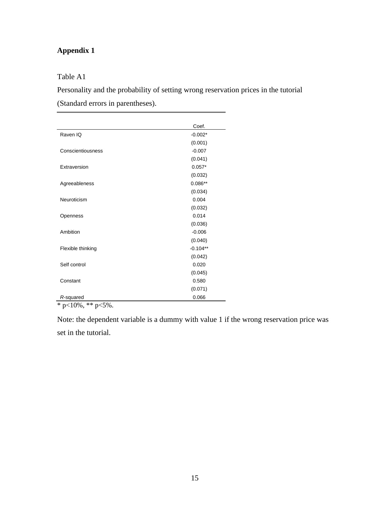# **Appendix 1**

Table A1

Personality and the probability of setting wrong reservation prices in the tutorial (Standard errors in parentheses).

|                    | Coef.      |
|--------------------|------------|
| Raven IQ           | $-0.002*$  |
|                    | (0.001)    |
| Conscientiousness  | $-0.007$   |
|                    | (0.041)    |
| Extraversion       | $0.057*$   |
|                    | (0.032)    |
| Agreeableness      | $0.086**$  |
|                    | (0.034)    |
| Neuroticism        | 0.004      |
|                    | (0.032)    |
| Openness           | 0.014      |
|                    | (0.036)    |
| Ambition           | $-0.006$   |
|                    | (0.040)    |
| Flexible thinking  | $-0.104**$ |
|                    | (0.042)    |
| Self control       | 0.020      |
|                    | (0.045)    |
| Constant           | 0.580      |
|                    | (0.071)    |
| R-squared<br>- - - | 0.066      |

 $*$  p<10%, \*\* p<5%.

Note: the dependent variable is a dummy with value 1 if the wrong reservation price was set in the tutorial.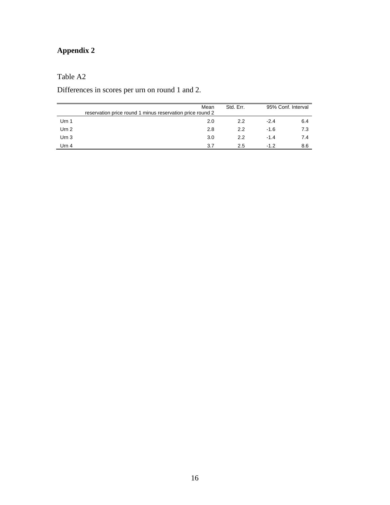# **Appendix 2**

# Table A2

Differences in scores per urn on round 1 and 2.

|                  | Mean<br>reservation price round 1 minus reservation price round 2 | Std. Err. | 95% Conf. Interval |     |  |
|------------------|-------------------------------------------------------------------|-----------|--------------------|-----|--|
| Urn 1            | 2.0                                                               | 2.2       | $-2.4$             | 6.4 |  |
| Urn $2$          | 2.8                                                               | 2.2       | $-1.6$             | 7.3 |  |
| Urn <sub>3</sub> | 3.0                                                               | 2.2       | $-1.4$             | 7.4 |  |
| Urn 4            | 3.7                                                               | 2.5       | $-12$              | 8.6 |  |